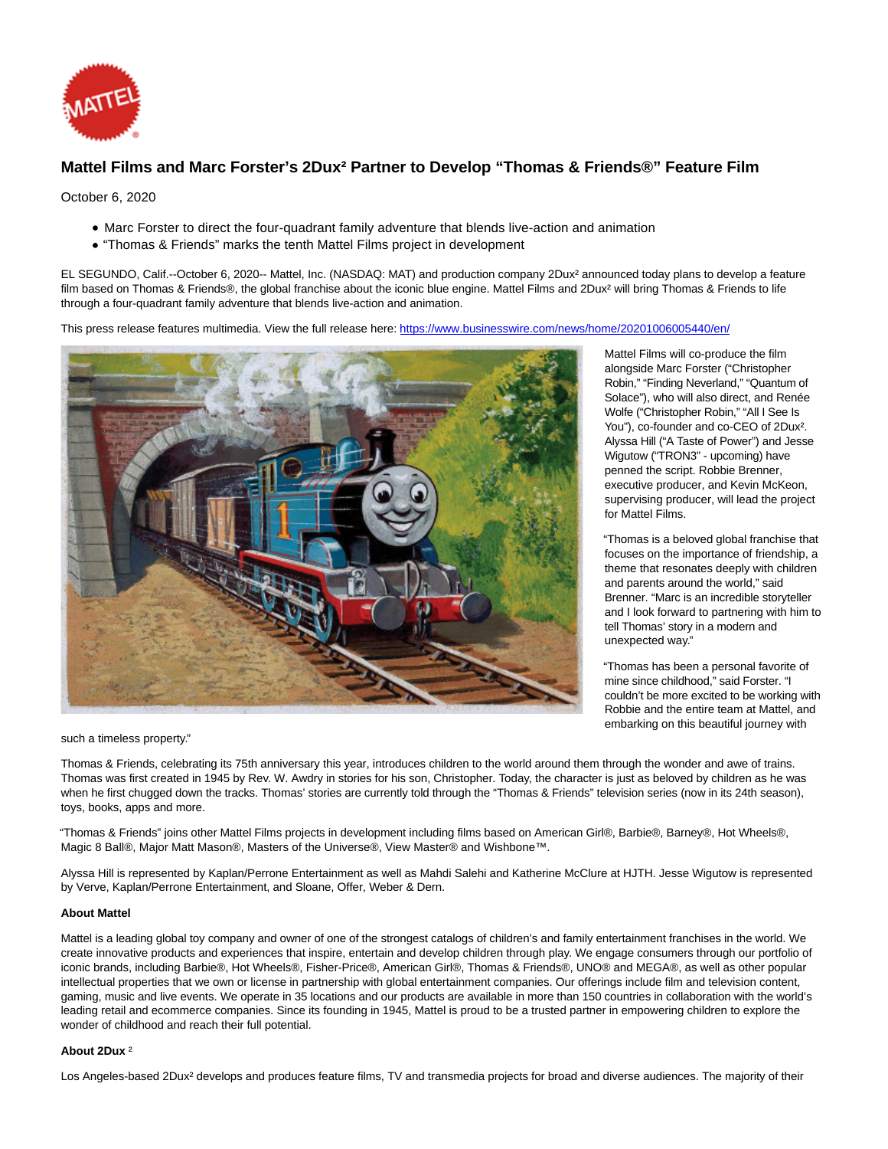

## **Mattel Films and Marc Forster's 2Dux² Partner to Develop "Thomas & Friends®" Feature Film**

October 6, 2020

- Marc Forster to direct the four-quadrant family adventure that blends live-action and animation
- "Thomas & Friends" marks the tenth Mattel Films project in development

EL SEGUNDO, Calif.--October 6, 2020-- Mattel, Inc. (NASDAQ: MAT) and production company 2Dux² announced today plans to develop a feature film based on Thomas & Friends®, the global franchise about the iconic blue engine. Mattel Films and 2Dux² will bring Thomas & Friends to life through a four-quadrant family adventure that blends live-action and animation.

This press release features multimedia. View the full release here:<https://www.businesswire.com/news/home/20201006005440/en/>



Mattel Films will co-produce the film alongside Marc Forster ("Christopher Robin," "Finding Neverland," "Quantum of Solace"), who will also direct, and Renée Wolfe ("Christopher Robin," "All I See Is You"), co-founder and co-CEO of 2Dux². Alyssa Hill ("A Taste of Power") and Jesse Wigutow ("TRON3" - upcoming) have penned the script. Robbie Brenner, executive producer, and Kevin McKeon, supervising producer, will lead the project for Mattel Films.

"Thomas is a beloved global franchise that focuses on the importance of friendship, a theme that resonates deeply with children and parents around the world," said Brenner. "Marc is an incredible storyteller and I look forward to partnering with him to tell Thomas' story in a modern and unexpected way."

"Thomas has been a personal favorite of mine since childhood," said Forster. "I couldn't be more excited to be working with Robbie and the entire team at Mattel, and embarking on this beautiful journey with

such a timeless property."

Thomas & Friends, celebrating its 75th anniversary this year, introduces children to the world around them through the wonder and awe of trains. Thomas was first created in 1945 by Rev. W. Awdry in stories for his son, Christopher. Today, the character is just as beloved by children as he was when he first chugged down the tracks. Thomas' stories are currently told through the "Thomas & Friends" television series (now in its 24th season). toys, books, apps and more.

"Thomas & Friends" joins other Mattel Films projects in development including films based on American Girl®, Barbie®, Barney®, Hot Wheels®, Magic 8 Ball®, Major Matt Mason®, Masters of the Universe®, View Master® and Wishbone™.

Alyssa Hill is represented by Kaplan/Perrone Entertainment as well as Mahdi Salehi and Katherine McClure at HJTH. Jesse Wigutow is represented by Verve, Kaplan/Perrone Entertainment, and Sloane, Offer, Weber & Dern.

## **About Mattel**

Mattel is a leading global toy company and owner of one of the strongest catalogs of children's and family entertainment franchises in the world. We create innovative products and experiences that inspire, entertain and develop children through play. We engage consumers through our portfolio of iconic brands, including Barbie®, Hot Wheels®, Fisher-Price®, American Girl®, Thomas & Friends®, UNO® and MEGA®, as well as other popular intellectual properties that we own or license in partnership with global entertainment companies. Our offerings include film and television content, gaming, music and live events. We operate in 35 locations and our products are available in more than 150 countries in collaboration with the world's leading retail and ecommerce companies. Since its founding in 1945, Mattel is proud to be a trusted partner in empowering children to explore the wonder of childhood and reach their full potential.

## **About 2Dux** ²

Los Angeles-based 2Dux² develops and produces feature films, TV and transmedia projects for broad and diverse audiences. The majority of their